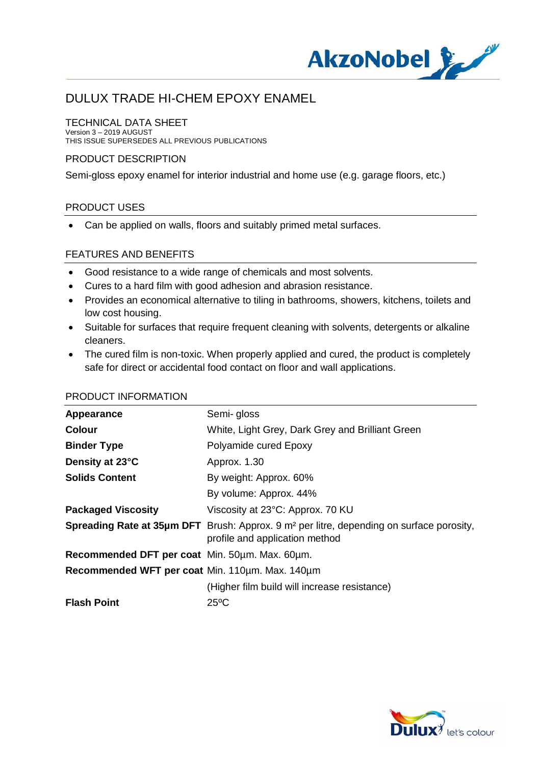

#### TECHNICAL DATA SHEET

Version 3 – 2019 AUGUST THIS ISSUE SUPERSEDES ALL PREVIOUS PUBLICATIONS

#### PRODUCT DESCRIPTION

Semi-gloss epoxy enamel for interior industrial and home use (e.g. garage floors, etc.)

#### PRODUCT USES

· Can be applied on walls, floors and suitably primed metal surfaces.

#### FEATURES AND BENEFITS

- · Good resistance to a wide range of chemicals and most solvents.
- · Cures to a hard film with good adhesion and abrasion resistance.
- · Provides an economical alternative to tiling in bathrooms, showers, kitchens, toilets and low cost housing.
- · Suitable for surfaces that require frequent cleaning with solvents, detergents or alkaline cleaners.
- The cured film is non-toxic. When properly applied and cured, the product is completely safe for direct or accidental food contact on floor and wall applications.

| Semi-gloss                                                                                                                                    |
|-----------------------------------------------------------------------------------------------------------------------------------------------|
| White, Light Grey, Dark Grey and Brilliant Green                                                                                              |
| Polyamide cured Epoxy                                                                                                                         |
| Approx. 1.30                                                                                                                                  |
| By weight: Approx. 60%                                                                                                                        |
| By volume: Approx. 44%                                                                                                                        |
| Viscosity at 23°C: Approx. 70 KU                                                                                                              |
| <b>Spreading Rate at 35µm DFT</b> Brush: Approx. 9 m <sup>2</sup> per litre, depending on surface porosity,<br>profile and application method |
| Recommended DFT per coat Min. 50um. Max. 60um.                                                                                                |
| Recommended WFT per coat Min. 110um. Max. 140um                                                                                               |
| (Higher film build will increase resistance)                                                                                                  |
| $25^{\circ}$ C                                                                                                                                |
|                                                                                                                                               |

#### PRODUCT INFORMATION

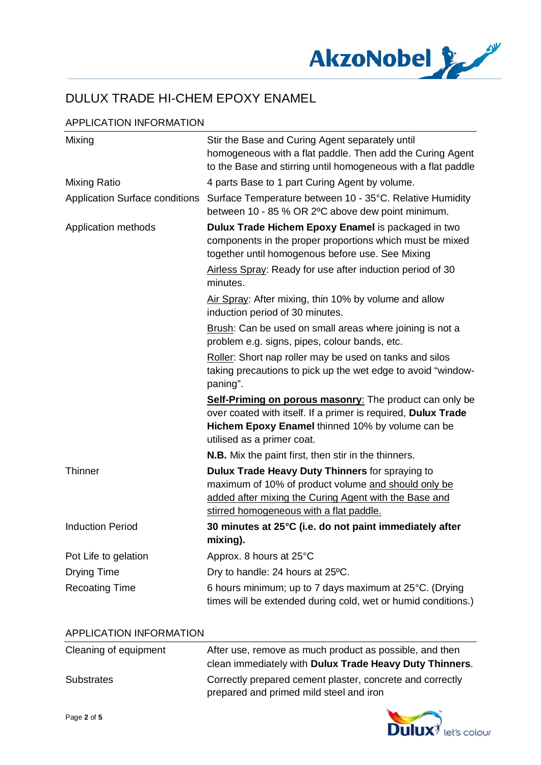

# APPLICATION INFORMATION

| Mixing                                | Stir the Base and Curing Agent separately until<br>homogeneous with a flat paddle. Then add the Curing Agent<br>to the Base and stirring until homogeneous with a flat paddle                              |
|---------------------------------------|------------------------------------------------------------------------------------------------------------------------------------------------------------------------------------------------------------|
| Mixing Ratio                          | 4 parts Base to 1 part Curing Agent by volume.                                                                                                                                                             |
| <b>Application Surface conditions</b> | Surface Temperature between 10 - 35°C. Relative Humidity<br>between 10 - 85 % OR 2°C above dew point minimum.                                                                                              |
| Application methods                   | Dulux Trade Hichem Epoxy Enamel is packaged in two<br>components in the proper proportions which must be mixed<br>together until homogenous before use. See Mixing                                         |
|                                       | Airless Spray: Ready for use after induction period of 30<br>minutes.                                                                                                                                      |
|                                       | Air Spray: After mixing, thin 10% by volume and allow<br>induction period of 30 minutes.                                                                                                                   |
|                                       | Brush: Can be used on small areas where joining is not a<br>problem e.g. signs, pipes, colour bands, etc.                                                                                                  |
|                                       | Roller: Short nap roller may be used on tanks and silos<br>taking precautions to pick up the wet edge to avoid "window-<br>paning".                                                                        |
|                                       | Self-Priming on porous masonry: The product can only be<br>over coated with itself. If a primer is required, Dulux Trade<br>Hichem Epoxy Enamel thinned 10% by volume can be<br>utilised as a primer coat. |
|                                       | <b>N.B.</b> Mix the paint first, then stir in the thinners.                                                                                                                                                |
| <b>Thinner</b>                        | Dulux Trade Heavy Duty Thinners for spraying to<br>maximum of 10% of product volume and should only be<br>added after mixing the Curing Agent with the Base and<br>stirred homogeneous with a flat paddle. |
| <b>Induction Period</b>               | 30 minutes at 25°C (i.e. do not paint immediately after<br>mixing).                                                                                                                                        |
| Pot Life to gelation                  | Approx. 8 hours at 25°C                                                                                                                                                                                    |
| Drying Time                           | Dry to handle: 24 hours at 25°C.                                                                                                                                                                           |
| <b>Recoating Time</b>                 | 6 hours minimum; up to 7 days maximum at 25°C. (Drying<br>times will be extended during cold, wet or humid conditions.)                                                                                    |

#### APPLICATION INFORMATION

| Cleaning of equipment | After use, remove as much product as possible, and then   |
|-----------------------|-----------------------------------------------------------|
|                       | clean immediately with Dulux Trade Heavy Duty Thinners.   |
| <b>Substrates</b>     | Correctly prepared cement plaster, concrete and correctly |
|                       | prepared and primed mild steel and iron                   |

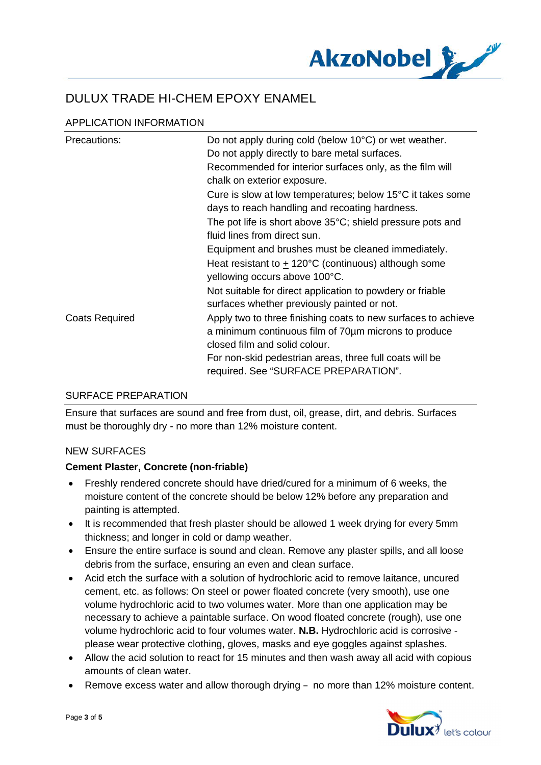

# APPLICATION INFORMATION

| Precautions:          | Do not apply during cold (below 10°C) or wet weather.<br>Do not apply directly to bare metal surfaces.<br>Recommended for interior surfaces only, as the film will<br>chalk on exterior exposure.                 |
|-----------------------|-------------------------------------------------------------------------------------------------------------------------------------------------------------------------------------------------------------------|
|                       | Cure is slow at low temperatures; below 15°C it takes some<br>days to reach handling and recoating hardness.                                                                                                      |
|                       | The pot life is short above $35^{\circ}$ C; shield pressure pots and<br>fluid lines from direct sun.                                                                                                              |
|                       | Equipment and brushes must be cleaned immediately.                                                                                                                                                                |
|                       | Heat resistant to $\pm$ 120°C (continuous) although some<br>yellowing occurs above 100°C.                                                                                                                         |
|                       | Not suitable for direct application to powdery or friable<br>surfaces whether previously painted or not.                                                                                                          |
| <b>Coats Required</b> | Apply two to three finishing coats to new surfaces to achieve<br>a minimum continuous film of 70um microns to produce<br>closed film and solid colour.<br>For non-skid pedestrian areas, three full coats will be |
|                       | required. See "SURFACE PREPARATION".                                                                                                                                                                              |

### SURFACE PREPARATION

Ensure that surfaces are sound and free from dust, oil, grease, dirt, and debris. Surfaces must be thoroughly dry - no more than 12% moisture content.

### NEW SURFACES

### **Cement Plaster, Concrete (non-friable)**

- · Freshly rendered concrete should have dried/cured for a minimum of 6 weeks, the moisture content of the concrete should be below 12% before any preparation and painting is attempted.
- · It is recommended that fresh plaster should be allowed 1 week drying for every 5mm thickness; and longer in cold or damp weather.
- · Ensure the entire surface is sound and clean. Remove any plaster spills, and all loose debris from the surface, ensuring an even and clean surface.
- · Acid etch the surface with a solution of hydrochloric acid to remove laitance, uncured cement, etc. as follows: On steel or power floated concrete (very smooth), use one volume hydrochloric acid to two volumes water. More than one application may be necessary to achieve a paintable surface. On wood floated concrete (rough), use one volume hydrochloric acid to four volumes water. **N.B.** Hydrochloric acid is corrosive please wear protective clothing, gloves, masks and eye goggles against splashes.
- · Allow the acid solution to react for 15 minutes and then wash away all acid with copious amounts of clean water.
- Remove excess water and allow thorough drying  $-$  no more than 12% moisture content.

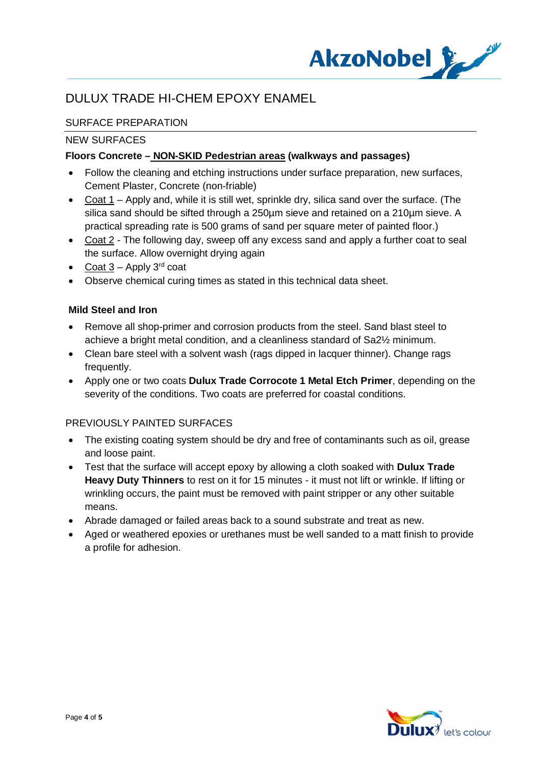

# SURFACE PREPARATION

#### NEW SURFACES

### **Floors Concrete – NON-SKID Pedestrian areas (walkways and passages)**

- · Follow the cleaning and etching instructions under surface preparation, new surfaces, Cement Plaster, Concrete (non-friable)
- · Coat 1 Apply and, while it is still wet, sprinkle dry, silica sand over the surface. (The silica sand should be sifted through a 250µm sieve and retained on a 210µm sieve. A practical spreading rate is 500 grams of sand per square meter of painted floor.)
- · Coat 2 The following day, sweep off any excess sand and apply a further coat to seal the surface. Allow overnight drying again
- Coat  $3$  Apply  $3^{\text{rd}}$  coat
- · Observe chemical curing times as stated in this technical data sheet.

#### **Mild Steel and Iron**

- · Remove all shop-primer and corrosion products from the steel. Sand blast steel to achieve a bright metal condition, and a cleanliness standard of Sa2½ minimum.
- Clean bare steel with a solvent wash (rags dipped in lacquer thinner). Change rags frequently.
- · Apply one or two coats **Dulux Trade Corrocote 1 Metal Etch Primer**, depending on the severity of the conditions. Two coats are preferred for coastal conditions.

#### PREVIOUSLY PAINTED SURFACES

- The existing coating system should be dry and free of contaminants such as oil, grease and loose paint.
- · Test that the surface will accept epoxy by allowing a cloth soaked with **Dulux Trade Heavy Duty Thinners** to rest on it for 15 minutes - it must not lift or wrinkle. If lifting or wrinkling occurs, the paint must be removed with paint stripper or any other suitable means.
- · Abrade damaged or failed areas back to a sound substrate and treat as new.
- · Aged or weathered epoxies or urethanes must be well sanded to a matt finish to provide a profile for adhesion.